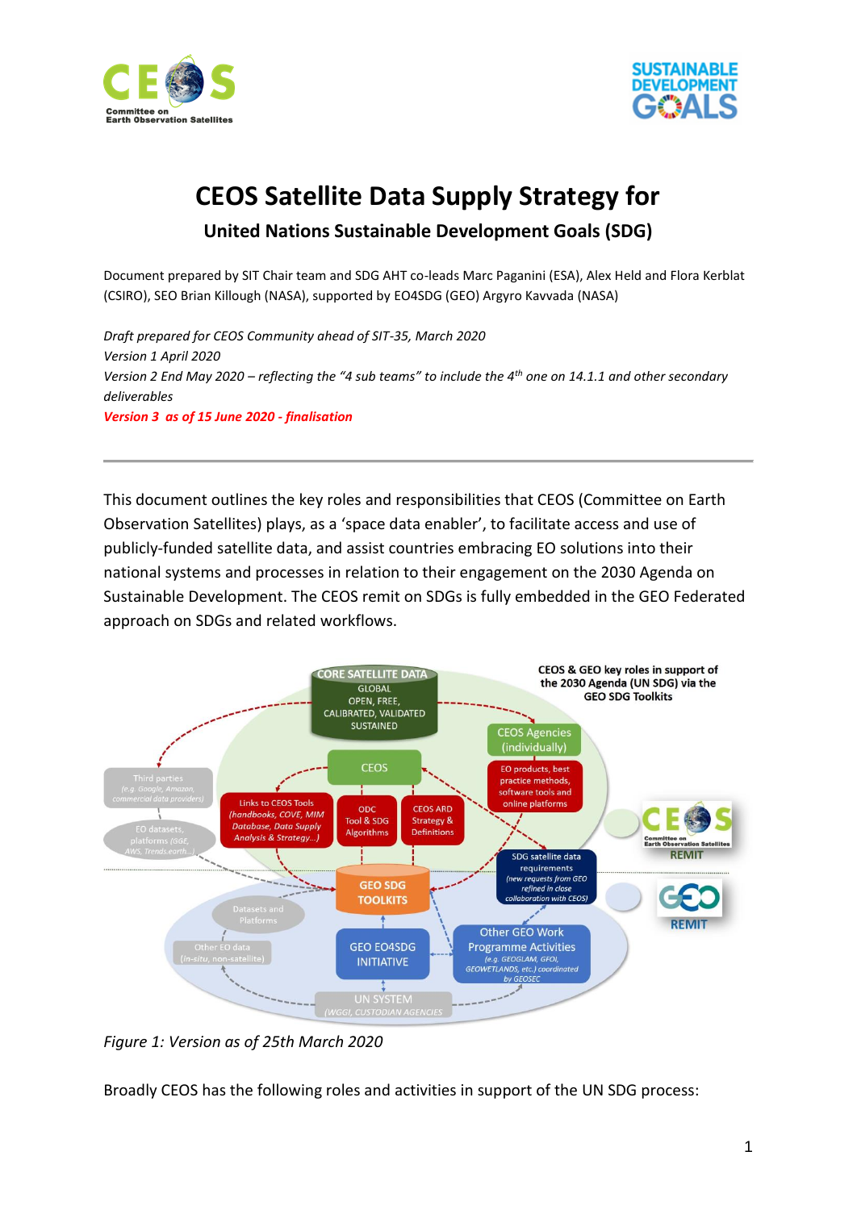



# **CEOS Satellite Data Supply Strategy for**

# **United Nations Sustainable Development Goals (SDG)**

Document prepared by SIT Chair team and SDG AHT co-leads Marc Paganini (ESA), Alex Held and Flora Kerblat (CSIRO), SEO Brian Killough (NASA), supported by EO4SDG (GEO) Argyro Kavvada (NASA)

*Draft prepared for CEOS Community ahead of SIT-35, March 2020 Version 1 April 2020 Version 2 End May 2020 – reflecting the "4 sub teams" to include the 4th one on 14.1.1 and other secondary deliverables Version 3 as of 15 June 2020 - finalisation*

This document outlines the key roles and responsibilities that CEOS (Committee on Earth Observation Satellites) plays, as a 'space data enabler', to facilitate access and use of publicly-funded satellite data, and assist countries embracing EO solutions into their national systems and processes in relation to their engagement on the 2030 Agenda on Sustainable Development. The CEOS remit on SDGs is fully embedded in the GEO Federated approach on SDGs and related workflows.



*Figure 1: Version as of 25th March 2020*

Broadly CEOS has the following roles and activities in support of the UN SDG process: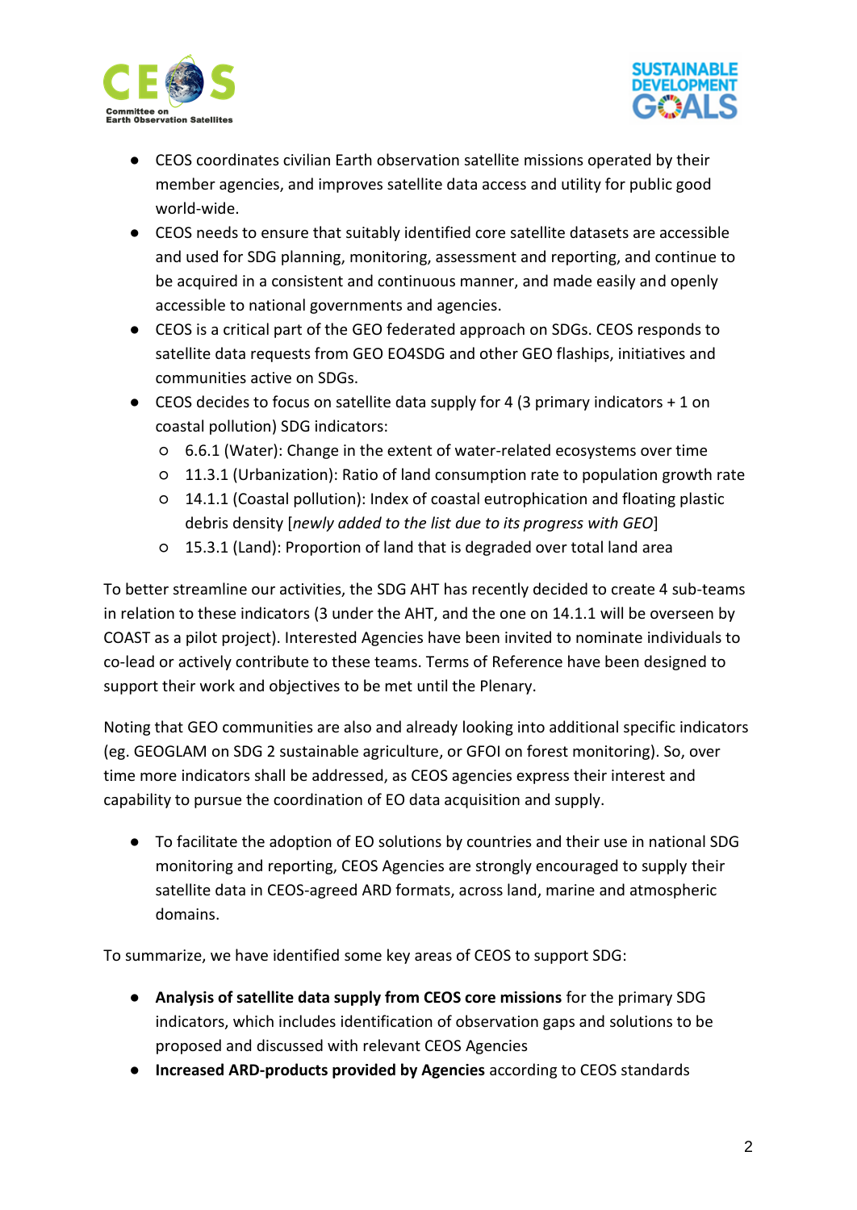



- CEOS coordinates civilian Earth observation satellite missions operated by their member agencies, and improves satellite data access and utility for public good world-wide.
- CEOS needs to ensure that suitably identified core satellite datasets are accessible and used for SDG planning, monitoring, assessment and reporting, and continue to be acquired in a consistent and continuous manner, and made easily and openly accessible to national governments and agencies.
- CEOS is a critical part of the GEO federated approach on SDGs. CEOS responds to satellite data requests from GEO EO4SDG and other GEO flaships, initiatives and communities active on SDGs.
- $\bullet$  CEOS decides to focus on satellite data supply for 4 (3 primary indicators  $+1$  on coastal pollution) SDG indicators:
	- 6.6.1 (Water): Change in the extent of water-related ecosystems over time
	- 11.3.1 (Urbanization): Ratio of land consumption rate to population growth rate
	- 14.1.1 (Coastal pollution): Index of coastal eutrophication and floating plastic debris density [*newly added to the list due to its progress with GEO*]
	- 15.3.1 (Land): Proportion of land that is degraded over total land area

To better streamline our activities, the SDG AHT has recently decided to create 4 sub-teams in relation to these indicators (3 under the AHT, and the one on 14.1.1 will be overseen by COAST as a pilot project). Interested Agencies have been invited to nominate individuals to co-lead or actively contribute to these teams. Terms of Reference have been designed to support their work and objectives to be met until the Plenary.

Noting that GEO communities are also and already looking into additional specific indicators (eg. GEOGLAM on SDG 2 sustainable agriculture, or GFOI on forest monitoring). So, over time more indicators shall be addressed, as CEOS agencies express their interest and capability to pursue the coordination of EO data acquisition and supply.

● To facilitate the adoption of EO solutions by countries and their use in national SDG monitoring and reporting, CEOS Agencies are strongly encouraged to supply their satellite data in CEOS-agreed ARD formats, across land, marine and atmospheric domains.

To summarize, we have identified some key areas of CEOS to support SDG:

- **Analysis of satellite data supply from CEOS core missions** for the primary SDG indicators, which includes identification of observation gaps and solutions to be proposed and discussed with relevant CEOS Agencies
- **Increased ARD-products provided by Agencies** according to CEOS standards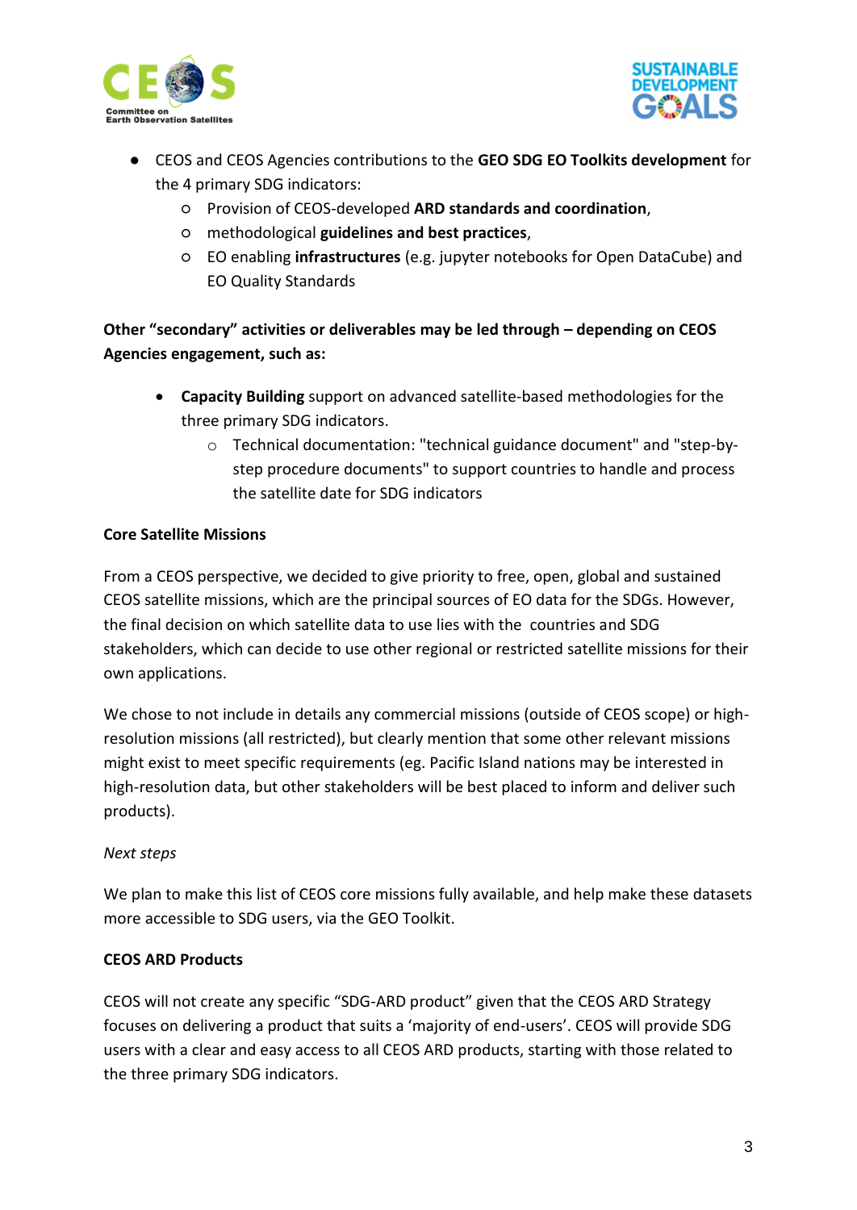



- CEOS and CEOS Agencies contributions to the **GEO SDG EO Toolkits development** for the 4 primary SDG indicators:
	- Provision of CEOS-developed **ARD standards and coordination**,
	- methodological **guidelines and best practices**,
	- EO enabling **infrastructures** (e.g. jupyter notebooks for Open DataCube) and EO Quality Standards

**Other "secondary" activities or deliverables may be led through – depending on CEOS Agencies engagement, such as:**

- **Capacity Building** support on advanced satellite-based methodologies for the three primary SDG indicators.
	- o Technical documentation: "technical guidance document" and "step-bystep procedure documents" to support countries to handle and process the satellite date for SDG indicators

#### **Core Satellite Missions**

From a CEOS perspective, we decided to give priority to free, open, global and sustained CEOS satellite missions, which are the principal sources of EO data for the SDGs. However, the final decision on which satellite data to use lies with the countries and SDG stakeholders, which can decide to use other regional or restricted satellite missions for their own applications.

We chose to not include in details any commercial missions (outside of CEOS scope) or highresolution missions (all restricted), but clearly mention that some other relevant missions might exist to meet specific requirements (eg. Pacific Island nations may be interested in high-resolution data, but other stakeholders will be best placed to inform and deliver such products).

#### *Next steps*

We plan to make this list of CEOS core missions fully available, and help make these datasets more accessible to SDG users, via the GEO Toolkit.

#### **CEOS ARD Products**

CEOS will not create any specific "SDG-ARD product" given that the CEOS ARD Strategy focuses on delivering a product that suits a 'majority of end-users'. CEOS will provide SDG users with a clear and easy access to all CEOS ARD products, starting with those related to the three primary SDG indicators.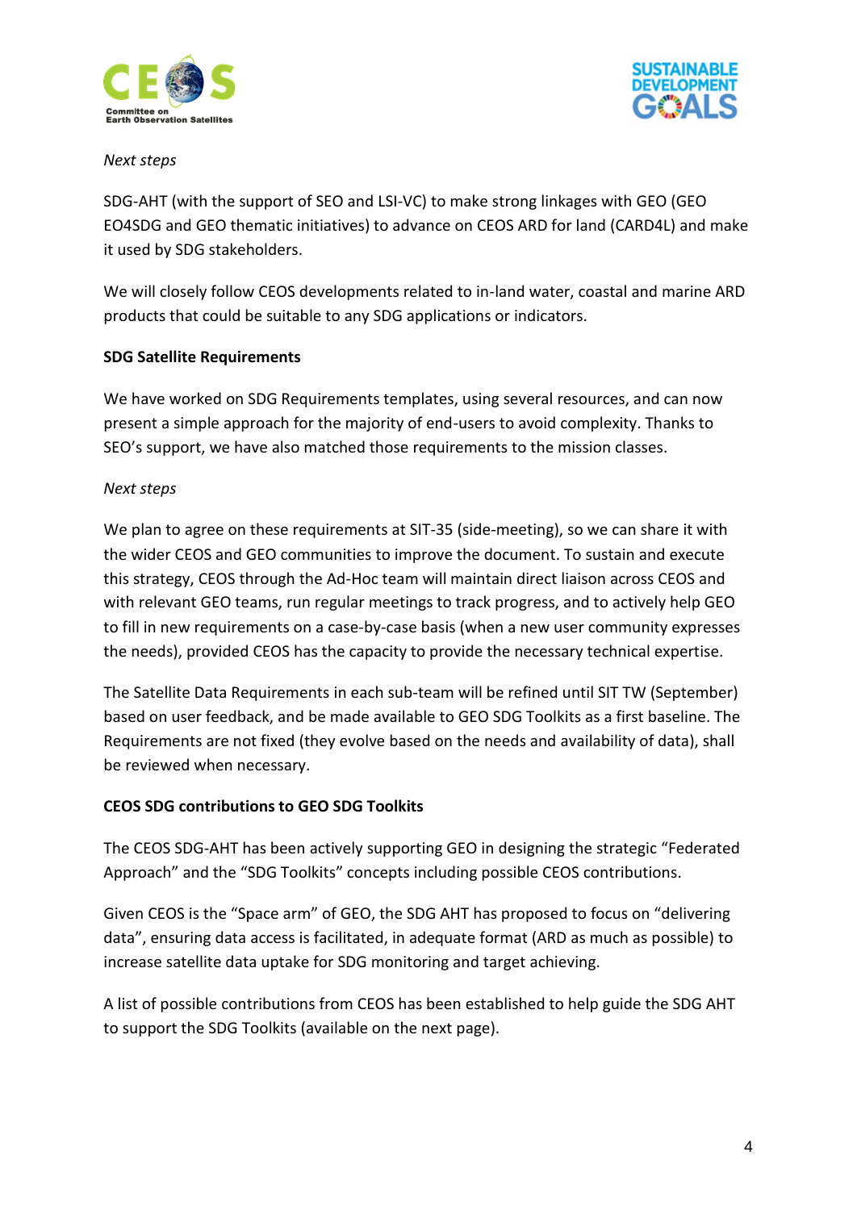



#### *Next steps*

SDG-AHT (with the support of SEO and LSI-VC) to make strong linkages with GEO (GEO EO4SDG and GEO thematic initiatives) to advance on CEOS ARD for land (CARD4L) and make it used by SDG stakeholders.

We will closely follow CEOS developments related to in-land water, coastal and marine ARD products that could be suitable to any SDG applications or indicators.

#### **SDG Satellite Requirements**

We have worked on SDG Requirements templates, using several resources, and can now present a simple approach for the majority of end-users to avoid complexity. Thanks to SEO's support, we have also matched those requirements to the mission classes.

#### *Next steps*

We plan to agree on these requirements at SIT-35 (side-meeting), so we can share it with the wider CEOS and GEO communities to improve the document. To sustain and execute this strategy, CEOS through the Ad-Hoc team will maintain direct liaison across CEOS and with relevant GEO teams, run regular meetings to track progress, and to actively help GEO to fill in new requirements on a case-by-case basis (when a new user community expresses the needs), provided CEOS has the capacity to provide the necessary technical expertise.

The Satellite Data Requirements in each sub-team will be refined until SIT TW (September) based on user feedback, and be made available to GEO SDG Toolkits as a first baseline. The Requirements are not fixed (they evolve based on the needs and availability of data), shall be reviewed when necessary.

#### **CEOS SDG contributions to GEO SDG Toolkits**

The CEOS SDG-AHT has been actively supporting GEO in designing the strategic "Federated Approach" and the "SDG Toolkits" concepts including possible CEOS contributions.

Given CEOS is the "Space arm" of GEO, the SDG AHT has proposed to focus on "delivering data", ensuring data access is facilitated, in adequate format (ARD as much as possible) to increase satellite data uptake for SDG monitoring and target achieving.

A list of possible contributions from CEOS has been established to help guide the SDG AHT to support the SDG Toolkits (available on the next page).